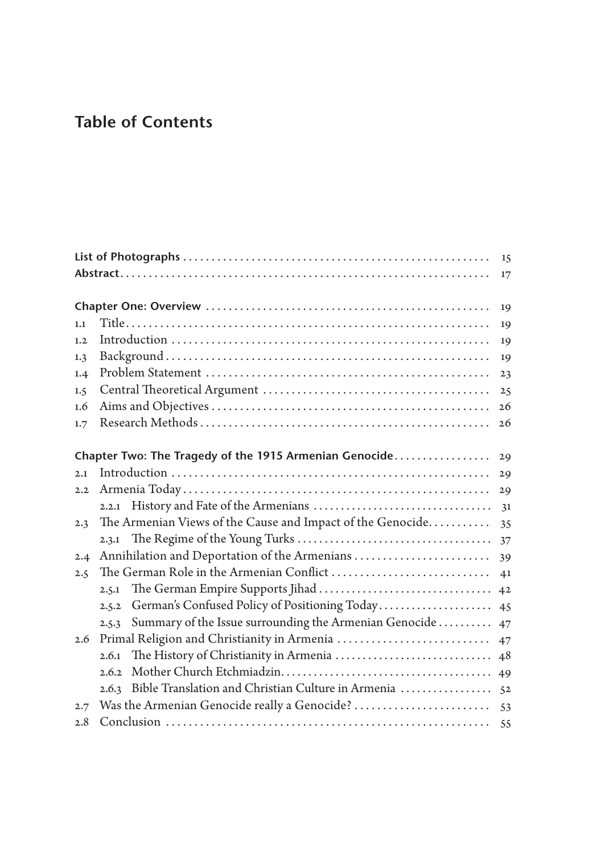## **Table of Contents**

| 15  |                                                                 |                |
|-----|-----------------------------------------------------------------|----------------|
|     |                                                                 | 17             |
|     |                                                                 |                |
|     |                                                                 | 19             |
| 1.1 |                                                                 | 19             |
| 1.2 |                                                                 | 19             |
| 1.3 |                                                                 | 19             |
| 1.4 |                                                                 | 23             |
| 1.5 |                                                                 | 25             |
| 1.6 |                                                                 | 26             |
| 1.7 |                                                                 | 26             |
|     | Chapter Two: The Tragedy of the 1915 Armenian Genocide          | 29             |
| 2.1 |                                                                 | 29             |
| 2.2 |                                                                 | 29             |
|     |                                                                 | 31             |
| 2.3 | The Armenian Views of the Cause and Impact of the Genocide      | 35             |
|     |                                                                 | 37             |
| 2.4 | Annihilation and Deportation of the Armenians                   | 39             |
| 2.5 |                                                                 |                |
|     | 2.5.1                                                           | 4 <sup>2</sup> |
|     | German's Confused Policy of Positioning Today<br>2.5.2          | 45             |
|     | Summary of the Issue surrounding the Armenian Genocide<br>2.5.3 | 47             |
| 2.6 | Primal Religion and Christianity in Armenia                     | 47             |
|     | 2.6.1                                                           |                |
|     |                                                                 |                |
|     | Bible Translation and Christian Culture in Armenia  52<br>2.6.3 |                |
| 2.7 |                                                                 |                |
| 2.8 |                                                                 |                |
|     |                                                                 |                |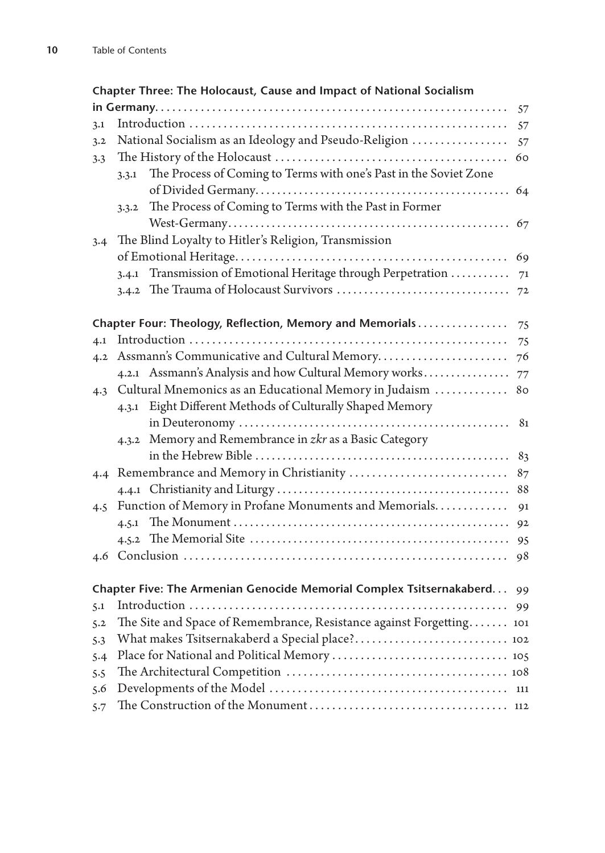|     | Chapter Three: The Holocaust, Cause and Impact of National Socialism       |    |
|-----|----------------------------------------------------------------------------|----|
|     |                                                                            | 57 |
| 3.1 |                                                                            | 57 |
| 3.2 | National Socialism as an Ideology and Pseudo-Religion                      | 57 |
| 3.3 |                                                                            | 60 |
|     | The Process of Coming to Terms with one's Past in the Soviet Zone<br>3.3.1 |    |
|     |                                                                            | 64 |
|     | The Process of Coming to Terms with the Past in Former<br>3.3.2            |    |
|     |                                                                            | 67 |
| 3.4 | The Blind Loyalty to Hitler's Religion, Transmission                       |    |
|     |                                                                            | 69 |
|     | 3.4.1 Transmission of Emotional Heritage through Perpetration  71          |    |
|     |                                                                            |    |
|     |                                                                            |    |
|     | Chapter Four: Theology, Reflection, Memory and Memorials                   | 75 |
| 4.1 |                                                                            | 75 |
|     | 4.2 Assmann's Communicative and Cultural Memory                            | 76 |
|     | 4.2.1 Assmann's Analysis and how Cultural Memory works                     | 77 |
|     | 4.3 Cultural Mnemonics as an Educational Memory in Judaism                 | 80 |
|     | 4.3.1 Eight Different Methods of Culturally Shaped Memory                  |    |
|     |                                                                            | 81 |
|     | 4.3.2 Memory and Remembrance in zkr as a Basic Category                    |    |
|     |                                                                            | 83 |
|     | 4.4 Remembrance and Memory in Christianity                                 | 87 |
|     |                                                                            | 88 |
| 4.5 | Function of Memory in Profane Monuments and Memorials                      | 91 |
|     |                                                                            | 92 |
|     |                                                                            | 95 |
| 4.6 |                                                                            | 98 |
|     |                                                                            |    |
|     | Chapter Five: The Armenian Genocide Memorial Complex Tsitsernakaberd 99    |    |
| 5.1 |                                                                            | 99 |
| 5.2 | The Site and Space of Remembrance, Resistance against Forgetting 101       |    |
| 5.3 |                                                                            |    |
| 5.4 |                                                                            |    |
| 5.5 |                                                                            |    |
| 5.6 |                                                                            |    |
| 5.7 |                                                                            |    |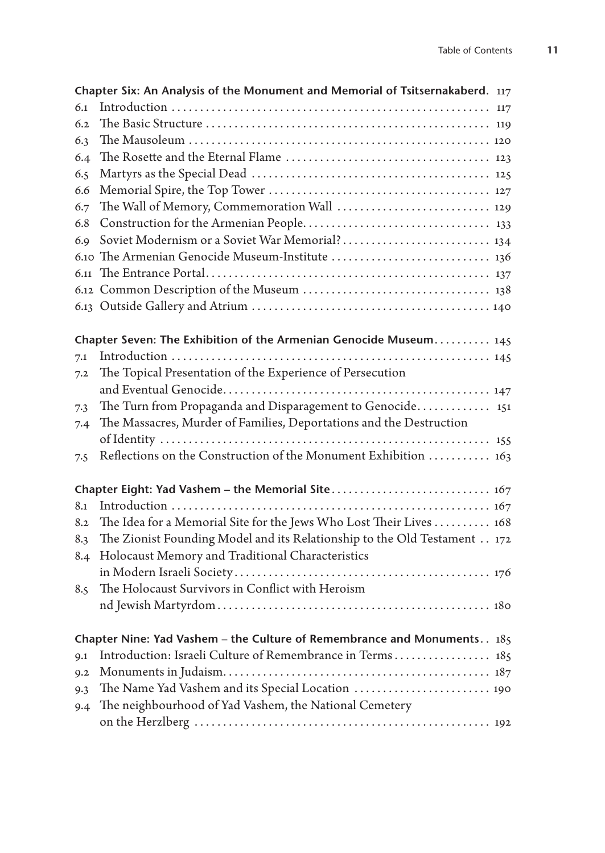|     | Chapter Six: An Analysis of the Monument and Memorial of Tsitsernakaberd. $117$ |  |
|-----|---------------------------------------------------------------------------------|--|
| 6.1 |                                                                                 |  |
| 6.2 |                                                                                 |  |
| 6.3 |                                                                                 |  |
| 6.4 |                                                                                 |  |
| 6.5 |                                                                                 |  |
| 6.6 |                                                                                 |  |
| 6.7 | The Wall of Memory, Commemoration Wall  129                                     |  |
| 6.8 |                                                                                 |  |
| 6.9 |                                                                                 |  |
|     | 6.10 The Armenian Genocide Museum-Institute  136                                |  |
|     |                                                                                 |  |
|     |                                                                                 |  |
|     |                                                                                 |  |
|     |                                                                                 |  |
|     | Chapter Seven: The Exhibition of the Armenian Genocide Museum 145               |  |
| 7.1 |                                                                                 |  |
| 7.2 | The Topical Presentation of the Experience of Persecution                       |  |
|     |                                                                                 |  |
| 7.3 | The Turn from Propaganda and Disparagement to Genocide 151                      |  |
| 7.4 | The Massacres, Murder of Families, Deportations and the Destruction             |  |
|     |                                                                                 |  |
| 7.5 | Reflections on the Construction of the Monument Exhibition  163                 |  |
|     |                                                                                 |  |
| 8.1 |                                                                                 |  |
| 8.2 | The Idea for a Memorial Site for the Jews Who Lost Their Lives 168              |  |
| 8.3 | The Zionist Founding Model and its Relationship to the Old Testament 172        |  |
| 8.4 | Holocaust Memory and Traditional Characteristics                                |  |
|     |                                                                                 |  |
| 8.5 | The Holocaust Survivors in Conflict with Heroism                                |  |
|     |                                                                                 |  |
|     | Chapter Nine: Yad Vashem - the Culture of Remembrance and Monuments 185         |  |
| 9.1 | Introduction: Israeli Culture of Remembrance in Terms 185                       |  |
| 9.2 |                                                                                 |  |
| 9.3 | The Name Yad Vashem and its Special Location  190                               |  |
| 9.4 | The neighbourhood of Yad Vashem, the National Cemetery                          |  |
|     |                                                                                 |  |
|     |                                                                                 |  |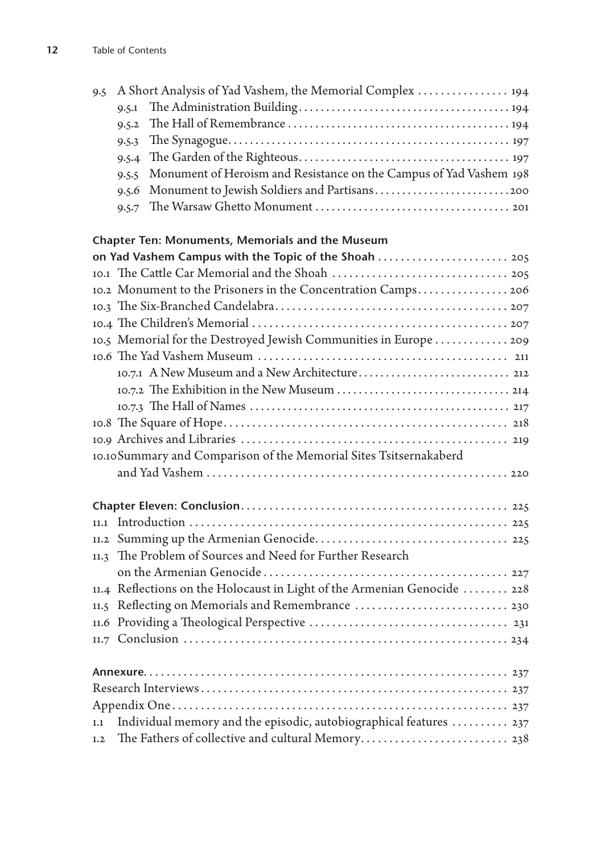|  | 9.5 A Short Analysis of Yad Vashem, the Memorial Complex 194             |
|--|--------------------------------------------------------------------------|
|  |                                                                          |
|  |                                                                          |
|  |                                                                          |
|  |                                                                          |
|  | 9.5.5 Monument of Heroism and Resistance on the Campus of Yad Vashem 198 |
|  | 9.5.6 Monument to Jewish Soldiers and Partisans                          |
|  |                                                                          |
|  |                                                                          |

## **Chapter Ten: Monuments, Memorials and the Museum**

|      | on Yad Vashem Campus with the Topic of the Shoah  205                                                                   |
|------|-------------------------------------------------------------------------------------------------------------------------|
|      |                                                                                                                         |
|      | 10.2 Monument to the Prisoners in the Concentration Camps 206                                                           |
|      |                                                                                                                         |
|      |                                                                                                                         |
|      | 10.5 Memorial for the Destroyed Jewish Communities in Europe 209                                                        |
|      |                                                                                                                         |
|      |                                                                                                                         |
|      |                                                                                                                         |
|      |                                                                                                                         |
|      |                                                                                                                         |
|      |                                                                                                                         |
|      | 10.10 Summary and Comparison of the Memorial Sites Tsitsernakaberd                                                      |
|      |                                                                                                                         |
|      |                                                                                                                         |
|      |                                                                                                                         |
|      |                                                                                                                         |
|      |                                                                                                                         |
|      |                                                                                                                         |
| 11.3 | The Problem of Sources and Need for Further Research                                                                    |
|      |                                                                                                                         |
|      | 11.4 Reflections on the Holocaust in Light of the Armenian Genocide  228                                                |
|      | 11.5 Reflecting on Memorials and Remembrance  230                                                                       |
|      |                                                                                                                         |
|      |                                                                                                                         |
|      |                                                                                                                         |
|      |                                                                                                                         |
|      |                                                                                                                         |
|      |                                                                                                                         |
| 1.1  | Individual memory and the episodic, autobiographical features  237<br>The Fathers of collective and cultural Memory 238 |